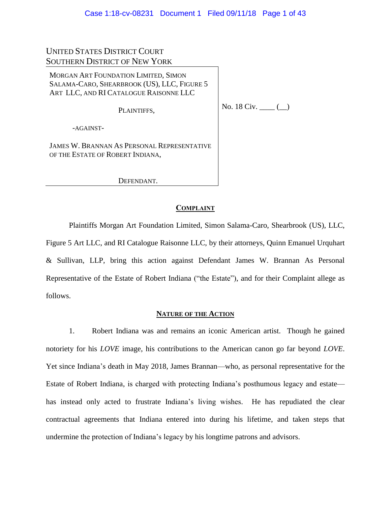# UNITED STATES DISTRICT COURT SOUTHERN DISTRICT OF NEW YORK

MORGAN ART FOUNDATION LIMITED, SIMON SALAMA-CARO, SHEARBROOK (US), LLC, FIGURE 5 ART LLC, AND RI CATALOGUE RAISONNE LLC

PLAINTIFFS,

No. 18 Civ. \_\_\_\_ (\_)

-AGAINST-

JAMES W. BRANNAN AS PERSONAL REPRESENTATIVE OF THE ESTATE OF ROBERT INDIANA,

DEFENDANT.

# **COMPLAINT**

Plaintiffs Morgan Art Foundation Limited, Simon Salama-Caro, Shearbrook (US), LLC, Figure 5 Art LLC, and RI Catalogue Raisonne LLC, by their attorneys, Quinn Emanuel Urquhart & Sullivan, LLP, bring this action against Defendant James W. Brannan As Personal Representative of the Estate of Robert Indiana ("the Estate"), and for their Complaint allege as follows.

### **NATURE OF THE ACTION**

1. Robert Indiana was and remains an iconic American artist. Though he gained notoriety for his *LOVE* image, his contributions to the American canon go far beyond *LOVE*. Yet since Indiana's death in May 2018, James Brannan—who, as personal representative for the Estate of Robert Indiana, is charged with protecting Indiana's posthumous legacy and estate has instead only acted to frustrate Indiana's living wishes. He has repudiated the clear contractual agreements that Indiana entered into during his lifetime, and taken steps that undermine the protection of Indiana's legacy by his longtime patrons and advisors.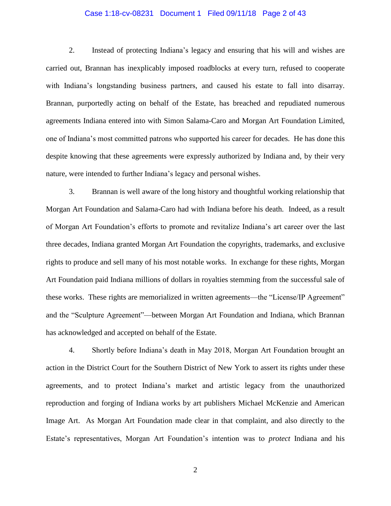### Case 1:18-cv-08231 Document 1 Filed 09/11/18 Page 2 of 43

2. Instead of protecting Indiana's legacy and ensuring that his will and wishes are carried out, Brannan has inexplicably imposed roadblocks at every turn, refused to cooperate with Indiana's longstanding business partners, and caused his estate to fall into disarray. Brannan, purportedly acting on behalf of the Estate, has breached and repudiated numerous agreements Indiana entered into with Simon Salama-Caro and Morgan Art Foundation Limited, one of Indiana's most committed patrons who supported his career for decades. He has done this despite knowing that these agreements were expressly authorized by Indiana and, by their very nature, were intended to further Indiana's legacy and personal wishes.

3. Brannan is well aware of the long history and thoughtful working relationship that Morgan Art Foundation and Salama-Caro had with Indiana before his death. Indeed, as a result of Morgan Art Foundation's efforts to promote and revitalize Indiana's art career over the last three decades, Indiana granted Morgan Art Foundation the copyrights, trademarks, and exclusive rights to produce and sell many of his most notable works. In exchange for these rights, Morgan Art Foundation paid Indiana millions of dollars in royalties stemming from the successful sale of these works. These rights are memorialized in written agreements—the "License/IP Agreement" and the "Sculpture Agreement"—between Morgan Art Foundation and Indiana, which Brannan has acknowledged and accepted on behalf of the Estate.

4. Shortly before Indiana's death in May 2018, Morgan Art Foundation brought an action in the District Court for the Southern District of New York to assert its rights under these agreements, and to protect Indiana's market and artistic legacy from the unauthorized reproduction and forging of Indiana works by art publishers Michael McKenzie and American Image Art. As Morgan Art Foundation made clear in that complaint, and also directly to the Estate's representatives, Morgan Art Foundation's intention was to *protect* Indiana and his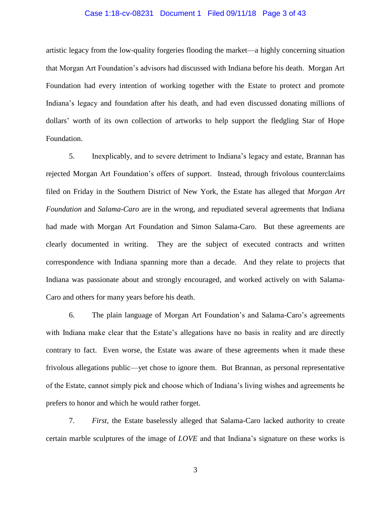### Case 1:18-cv-08231 Document 1 Filed 09/11/18 Page 3 of 43

artistic legacy from the low-quality forgeries flooding the market—a highly concerning situation that Morgan Art Foundation's advisors had discussed with Indiana before his death. Morgan Art Foundation had every intention of working together with the Estate to protect and promote Indiana's legacy and foundation after his death, and had even discussed donating millions of dollars' worth of its own collection of artworks to help support the fledgling Star of Hope Foundation.

5. Inexplicably, and to severe detriment to Indiana's legacy and estate, Brannan has rejected Morgan Art Foundation's offers of support. Instead, through frivolous counterclaims filed on Friday in the Southern District of New York, the Estate has alleged that *Morgan Art Foundation* and *Salama-Caro* are in the wrong, and repudiated several agreements that Indiana had made with Morgan Art Foundation and Simon Salama-Caro. But these agreements are clearly documented in writing. They are the subject of executed contracts and written correspondence with Indiana spanning more than a decade. And they relate to projects that Indiana was passionate about and strongly encouraged, and worked actively on with Salama-Caro and others for many years before his death.

6. The plain language of Morgan Art Foundation's and Salama-Caro's agreements with Indiana make clear that the Estate's allegations have no basis in reality and are directly contrary to fact. Even worse, the Estate was aware of these agreements when it made these frivolous allegations public—yet chose to ignore them. But Brannan, as personal representative of the Estate, cannot simply pick and choose which of Indiana's living wishes and agreements he prefers to honor and which he would rather forget.

7. *First,* the Estate baselessly alleged that Salama-Caro lacked authority to create certain marble sculptures of the image of *LOVE* and that Indiana's signature on these works is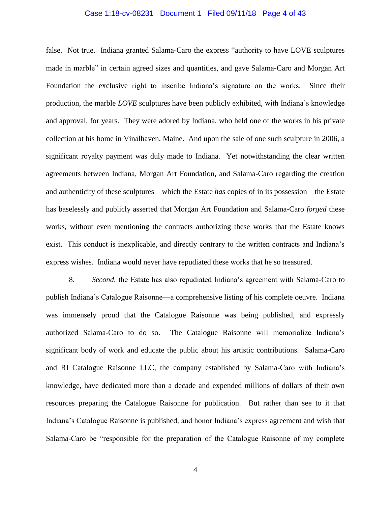### Case 1:18-cv-08231 Document 1 Filed 09/11/18 Page 4 of 43

false. Not true. Indiana granted Salama-Caro the express "authority to have LOVE sculptures made in marble" in certain agreed sizes and quantities, and gave Salama-Caro and Morgan Art Foundation the exclusive right to inscribe Indiana's signature on the works. Since their production, the marble *LOVE* sculptures have been publicly exhibited, with Indiana's knowledge and approval, for years. They were adored by Indiana, who held one of the works in his private collection at his home in Vinalhaven, Maine. And upon the sale of one such sculpture in 2006, a significant royalty payment was duly made to Indiana. Yet notwithstanding the clear written agreements between Indiana, Morgan Art Foundation, and Salama-Caro regarding the creation and authenticity of these sculptures—which the Estate *has* copies of in its possession—the Estate has baselessly and publicly asserted that Morgan Art Foundation and Salama-Caro *forged* these works, without even mentioning the contracts authorizing these works that the Estate knows exist. This conduct is inexplicable, and directly contrary to the written contracts and Indiana's express wishes. Indiana would never have repudiated these works that he so treasured.

8. *Second*, the Estate has also repudiated Indiana's agreement with Salama-Caro to publish Indiana's Catalogue Raisonne—a comprehensive listing of his complete oeuvre. Indiana was immensely proud that the Catalogue Raisonne was being published, and expressly authorized Salama-Caro to do so. The Catalogue Raisonne will memorialize Indiana's significant body of work and educate the public about his artistic contributions. Salama-Caro and RI Catalogue Raisonne LLC, the company established by Salama-Caro with Indiana's knowledge, have dedicated more than a decade and expended millions of dollars of their own resources preparing the Catalogue Raisonne for publication. But rather than see to it that Indiana's Catalogue Raisonne is published, and honor Indiana's express agreement and wish that Salama-Caro be "responsible for the preparation of the Catalogue Raisonne of my complete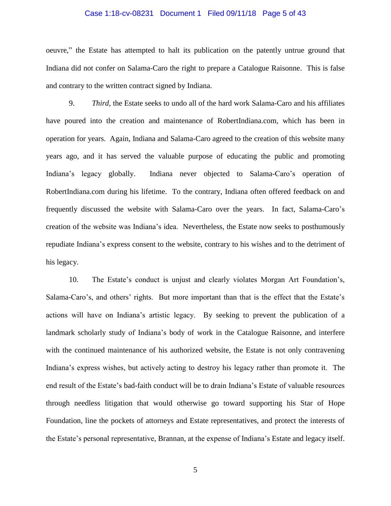### Case 1:18-cv-08231 Document 1 Filed 09/11/18 Page 5 of 43

oeuvre," the Estate has attempted to halt its publication on the patently untrue ground that Indiana did not confer on Salama-Caro the right to prepare a Catalogue Raisonne. This is false and contrary to the written contract signed by Indiana.

9. *Third*, the Estate seeks to undo all of the hard work Salama-Caro and his affiliates have poured into the creation and maintenance of RobertIndiana.com, which has been in operation for years. Again, Indiana and Salama-Caro agreed to the creation of this website many years ago, and it has served the valuable purpose of educating the public and promoting Indiana's legacy globally. Indiana never objected to Salama-Caro's operation of RobertIndiana.com during his lifetime. To the contrary, Indiana often offered feedback on and frequently discussed the website with Salama-Caro over the years. In fact, Salama-Caro's creation of the website was Indiana's idea. Nevertheless, the Estate now seeks to posthumously repudiate Indiana's express consent to the website, contrary to his wishes and to the detriment of his legacy.

10. The Estate's conduct is unjust and clearly violates Morgan Art Foundation's, Salama-Caro's, and others' rights. But more important than that is the effect that the Estate's actions will have on Indiana's artistic legacy. By seeking to prevent the publication of a landmark scholarly study of Indiana's body of work in the Catalogue Raisonne, and interfere with the continued maintenance of his authorized website, the Estate is not only contravening Indiana's express wishes, but actively acting to destroy his legacy rather than promote it. The end result of the Estate's bad-faith conduct will be to drain Indiana's Estate of valuable resources through needless litigation that would otherwise go toward supporting his Star of Hope Foundation, line the pockets of attorneys and Estate representatives, and protect the interests of the Estate's personal representative, Brannan, at the expense of Indiana's Estate and legacy itself.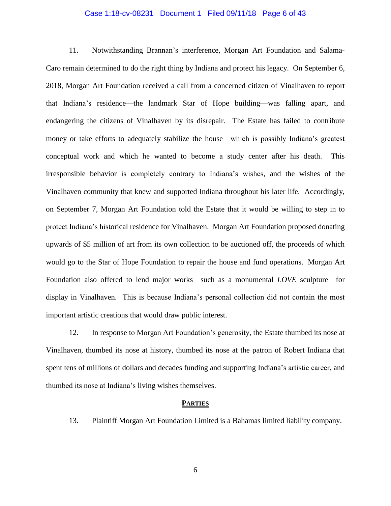### Case 1:18-cv-08231 Document 1 Filed 09/11/18 Page 6 of 43

11. Notwithstanding Brannan's interference, Morgan Art Foundation and Salama-Caro remain determined to do the right thing by Indiana and protect his legacy. On September 6, 2018, Morgan Art Foundation received a call from a concerned citizen of Vinalhaven to report that Indiana's residence—the landmark Star of Hope building—was falling apart, and endangering the citizens of Vinalhaven by its disrepair. The Estate has failed to contribute money or take efforts to adequately stabilize the house—which is possibly Indiana's greatest conceptual work and which he wanted to become a study center after his death. This irresponsible behavior is completely contrary to Indiana's wishes, and the wishes of the Vinalhaven community that knew and supported Indiana throughout his later life. Accordingly, on September 7, Morgan Art Foundation told the Estate that it would be willing to step in to protect Indiana's historical residence for Vinalhaven. Morgan Art Foundation proposed donating upwards of \$5 million of art from its own collection to be auctioned off, the proceeds of which would go to the Star of Hope Foundation to repair the house and fund operations. Morgan Art Foundation also offered to lend major works—such as a monumental *LOVE* sculpture—for display in Vinalhaven. This is because Indiana's personal collection did not contain the most important artistic creations that would draw public interest.

12. In response to Morgan Art Foundation's generosity, the Estate thumbed its nose at Vinalhaven, thumbed its nose at history, thumbed its nose at the patron of Robert Indiana that spent tens of millions of dollars and decades funding and supporting Indiana's artistic career, and thumbed its nose at Indiana's living wishes themselves.

#### **PARTIES**

13. Plaintiff Morgan Art Foundation Limited is a Bahamas limited liability company.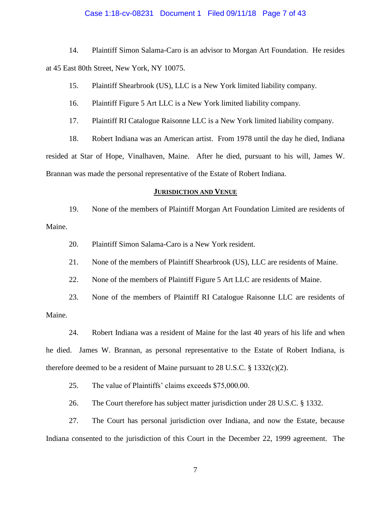### Case 1:18-cv-08231 Document 1 Filed 09/11/18 Page 7 of 43

14. Plaintiff Simon Salama-Caro is an advisor to Morgan Art Foundation. He resides at 45 East 80th Street, New York, NY 10075.

15. Plaintiff Shearbrook (US), LLC is a New York limited liability company.

16. Plaintiff Figure 5 Art LLC is a New York limited liability company.

17. Plaintiff RI Catalogue Raisonne LLC is a New York limited liability company.

18. Robert Indiana was an American artist. From 1978 until the day he died, Indiana resided at Star of Hope, Vinalhaven, Maine. After he died, pursuant to his will, James W. Brannan was made the personal representative of the Estate of Robert Indiana.

### **JURISDICTION AND VENUE**

19. None of the members of Plaintiff Morgan Art Foundation Limited are residents of Maine.

20. Plaintiff Simon Salama-Caro is a New York resident.

21. None of the members of Plaintiff Shearbrook (US), LLC are residents of Maine.

22. None of the members of Plaintiff Figure 5 Art LLC are residents of Maine.

23. None of the members of Plaintiff RI Catalogue Raisonne LLC are residents of Maine.

24. Robert Indiana was a resident of Maine for the last 40 years of his life and when he died. James W. Brannan, as personal representative to the Estate of Robert Indiana, is therefore deemed to be a resident of Maine pursuant to 28 U.S.C.  $\S$  1332(c)(2).

25. The value of Plaintiffs' claims exceeds \$75,000.00.

26. The Court therefore has subject matter jurisdiction under 28 U.S.C. § 1332.

27. The Court has personal jurisdiction over Indiana, and now the Estate, because Indiana consented to the jurisdiction of this Court in the December 22, 1999 agreement. The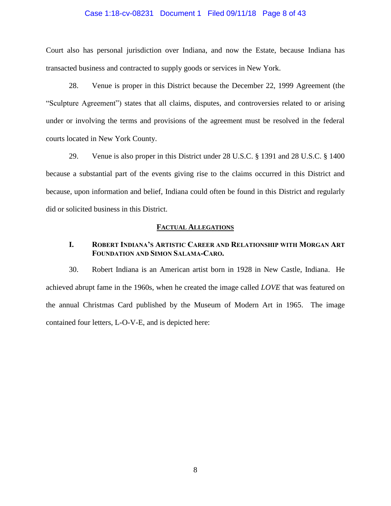### Case 1:18-cv-08231 Document 1 Filed 09/11/18 Page 8 of 43

Court also has personal jurisdiction over Indiana, and now the Estate, because Indiana has transacted business and contracted to supply goods or services in New York.

28. Venue is proper in this District because the December 22, 1999 Agreement (the "Sculpture Agreement") states that all claims, disputes, and controversies related to or arising under or involving the terms and provisions of the agreement must be resolved in the federal courts located in New York County.

29. Venue is also proper in this District under 28 U.S.C. § 1391 and 28 U.S.C. § 1400 because a substantial part of the events giving rise to the claims occurred in this District and because, upon information and belief, Indiana could often be found in this District and regularly did or solicited business in this District.

#### **FACTUAL ALLEGATIONS**

## **I. ROBERT INDIANA'S ARTISTIC CAREER AND RELATIONSHIP WITH MORGAN ART FOUNDATION AND SIMON SALAMA-CARO.**

30. Robert Indiana is an American artist born in 1928 in New Castle, Indiana. He achieved abrupt fame in the 1960s, when he created the image called *LOVE* that was featured on the annual Christmas Card published by the Museum of Modern Art in 1965. The image contained four letters, L-O-V-E, and is depicted here: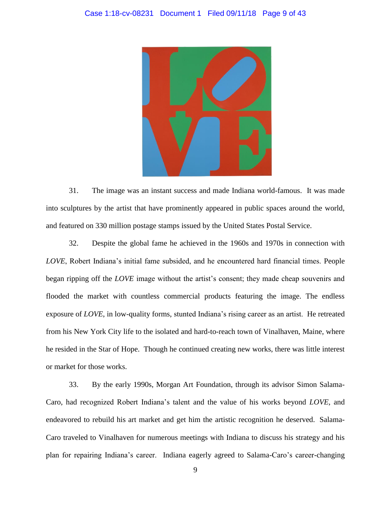

31. The image was an instant success and made Indiana world-famous. It was made into sculptures by the artist that have prominently appeared in public spaces around the world, and featured on 330 million postage stamps issued by the United States Postal Service.

32. Despite the global fame he achieved in the 1960s and 1970s in connection with *LOVE*, Robert Indiana's initial fame subsided, and he encountered hard financial times. People began ripping off the *LOVE* image without the artist's consent; they made cheap souvenirs and flooded the market with countless commercial products featuring the image. The endless exposure of *LOVE*, in low-quality forms, stunted Indiana's rising career as an artist. He retreated from his New York City life to the isolated and hard-to-reach town of Vinalhaven, Maine, where he resided in the Star of Hope. Though he continued creating new works, there was little interest or market for those works.

33. By the early 1990s, Morgan Art Foundation, through its advisor Simon Salama-Caro, had recognized Robert Indiana's talent and the value of his works beyond *LOVE,* and endeavored to rebuild his art market and get him the artistic recognition he deserved. Salama-Caro traveled to Vinalhaven for numerous meetings with Indiana to discuss his strategy and his plan for repairing Indiana's career. Indiana eagerly agreed to Salama-Caro's career-changing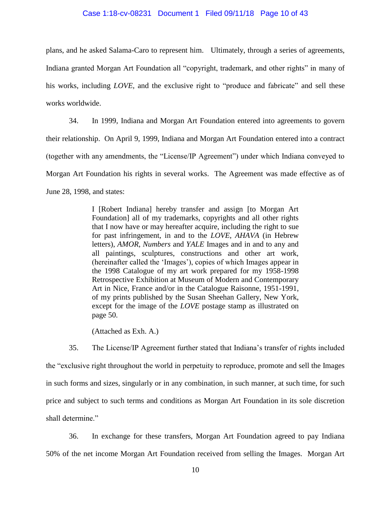#### Case 1:18-cv-08231 Document 1 Filed 09/11/18 Page 10 of 43

plans, and he asked Salama-Caro to represent him. Ultimately, through a series of agreements, Indiana granted Morgan Art Foundation all "copyright, trademark, and other rights" in many of his works, including *LOVE,* and the exclusive right to "produce and fabricate" and sell these works worldwide.

34. In 1999, Indiana and Morgan Art Foundation entered into agreements to govern their relationship. On April 9, 1999, Indiana and Morgan Art Foundation entered into a contract (together with any amendments, the "License/IP Agreement") under which Indiana conveyed to Morgan Art Foundation his rights in several works. The Agreement was made effective as of June 28, 1998, and states:

> I [Robert Indiana] hereby transfer and assign [to Morgan Art Foundation] all of my trademarks, copyrights and all other rights that I now have or may hereafter acquire, including the right to sue for past infringement, in and to the *LOVE*, *AHAVA* (in Hebrew letters), *AMOR*, *Numbers* and *YALE* Images and in and to any and all paintings, sculptures, constructions and other art work, (hereinafter called the 'Images'), copies of which Images appear in the 1998 Catalogue of my art work prepared for my 1958-1998 Retrospective Exhibition at Museum of Modern and Contemporary Art in Nice, France and/or in the Catalogue Raisonne, 1951-1991, of my prints published by the Susan Sheehan Gallery, New York, except for the image of the *LOVE* postage stamp as illustrated on page 50.

(Attached as Exh. A.)

35. The License/IP Agreement further stated that Indiana's transfer of rights included the "exclusive right throughout the world in perpetuity to reproduce, promote and sell the Images in such forms and sizes, singularly or in any combination, in such manner, at such time, for such price and subject to such terms and conditions as Morgan Art Foundation in its sole discretion shall determine."

36. In exchange for these transfers, Morgan Art Foundation agreed to pay Indiana 50% of the net income Morgan Art Foundation received from selling the Images. Morgan Art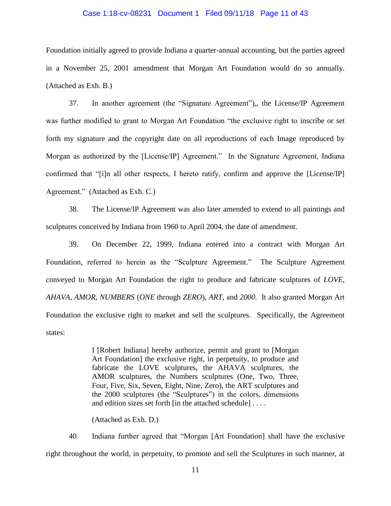#### Case 1:18-cv-08231 Document 1 Filed 09/11/18 Page 11 of 43

Foundation initially agreed to provide Indiana a quarter-annual accounting, but the parties agreed in a November 25, 2001 amendment that Morgan Art Foundation would do so annually. (Attached as Exh. B.)

37. In another agreement (the "Signature Agreement"),, the License/IP Agreement was further modified to grant to Morgan Art Foundation "the exclusive right to inscribe or set forth my signature and the copyright date on all reproductions of each Image reproduced by Morgan as authorized by the [License/IP] Agreement." In the Signature Agreement, Indiana confirmed that "[i]n all other respects, I hereto ratify, confirm and approve the [License/IP] Agreement." (Attached as Exh. C.)

38. The License/IP Agreement was also later amended to extend to all paintings and sculptures conceived by Indiana from 1960 to April 2004, the date of amendment.

39. On December 22, 1999, Indiana entered into a contract with Morgan Art Foundation, referred to herein as the "Sculpture Agreement." The Sculpture Agreement conveyed to Morgan Art Foundation the right to produce and fabricate sculptures of *LOVE*, *AHAVA*, *AMOR*, *NUMBERS* (*ONE* through *ZERO*), *ART*, and *2000*. It also granted Morgan Art Foundation the exclusive right to market and sell the sculptures. Specifically, the Agreement states:

> I [Robert Indiana] hereby authorize, permit and grant to [Morgan Art Foundation] the exclusive right, in perpetuity, to produce and fabricate the LOVE sculptures, the AHAVA sculptures, the AMOR sculptures, the Numbers sculptures (One, Two, Three, Four, Five, Six, Seven, Eight, Nine, Zero), the ART sculptures and the 2000 sculptures (the "Sculptures") in the colors, dimensions and edition sizes set forth [in the attached schedule] . . . .

(Attached as Exh. D.)

40. Indiana further agreed that "Morgan [Art Foundation] shall have the exclusive right throughout the world, in perpetuity, to promote and sell the Sculptures in such manner, at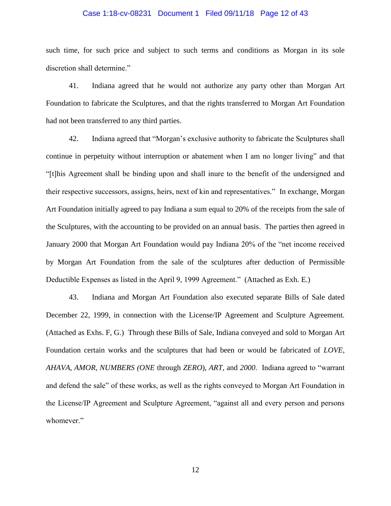### Case 1:18-cv-08231 Document 1 Filed 09/11/18 Page 12 of 43

such time, for such price and subject to such terms and conditions as Morgan in its sole discretion shall determine."

41. Indiana agreed that he would not authorize any party other than Morgan Art Foundation to fabricate the Sculptures, and that the rights transferred to Morgan Art Foundation had not been transferred to any third parties.

42. Indiana agreed that "Morgan's exclusive authority to fabricate the Sculptures shall continue in perpetuity without interruption or abatement when I am no longer living" and that "[t]his Agreement shall be binding upon and shall inure to the benefit of the undersigned and their respective successors, assigns, heirs, next of kin and representatives." In exchange, Morgan Art Foundation initially agreed to pay Indiana a sum equal to 20% of the receipts from the sale of the Sculptures, with the accounting to be provided on an annual basis. The parties then agreed in January 2000 that Morgan Art Foundation would pay Indiana 20% of the "net income received by Morgan Art Foundation from the sale of the sculptures after deduction of Permissible Deductible Expenses as listed in the April 9, 1999 Agreement." (Attached as Exh. E.)

43. Indiana and Morgan Art Foundation also executed separate Bills of Sale dated December 22, 1999, in connection with the License/IP Agreement and Sculpture Agreement. (Attached as Exhs. F, G.) Through these Bills of Sale, Indiana conveyed and sold to Morgan Art Foundation certain works and the sculptures that had been or would be fabricated of *LOVE*, *AHAVA*, *AMOR*, *NUMBERS (ONE* through *ZERO*), *ART*, and *2000*. Indiana agreed to "warrant and defend the sale" of these works, as well as the rights conveyed to Morgan Art Foundation in the License/IP Agreement and Sculpture Agreement, "against all and every person and persons whomever."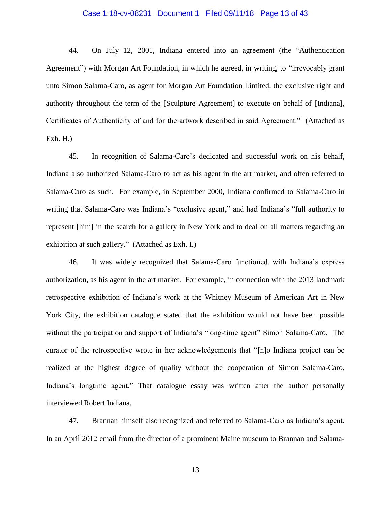### Case 1:18-cv-08231 Document 1 Filed 09/11/18 Page 13 of 43

44. On July 12, 2001, Indiana entered into an agreement (the "Authentication Agreement") with Morgan Art Foundation, in which he agreed, in writing, to "irrevocably grant unto Simon Salama-Caro, as agent for Morgan Art Foundation Limited, the exclusive right and authority throughout the term of the [Sculpture Agreement] to execute on behalf of [Indiana], Certificates of Authenticity of and for the artwork described in said Agreement." (Attached as Exh. H.)

45. In recognition of Salama-Caro's dedicated and successful work on his behalf, Indiana also authorized Salama-Caro to act as his agent in the art market, and often referred to Salama-Caro as such. For example, in September 2000, Indiana confirmed to Salama-Caro in writing that Salama-Caro was Indiana's "exclusive agent," and had Indiana's "full authority to represent [him] in the search for a gallery in New York and to deal on all matters regarding an exhibition at such gallery." (Attached as Exh. I.)

46. It was widely recognized that Salama-Caro functioned, with Indiana's express authorization, as his agent in the art market. For example, in connection with the 2013 landmark retrospective exhibition of Indiana's work at the Whitney Museum of American Art in New York City, the exhibition catalogue stated that the exhibition would not have been possible without the participation and support of Indiana's "long-time agent" Simon Salama-Caro. The curator of the retrospective wrote in her acknowledgements that "[n]o Indiana project can be realized at the highest degree of quality without the cooperation of Simon Salama-Caro, Indiana's longtime agent." That catalogue essay was written after the author personally interviewed Robert Indiana.

47. Brannan himself also recognized and referred to Salama-Caro as Indiana's agent. In an April 2012 email from the director of a prominent Maine museum to Brannan and Salama-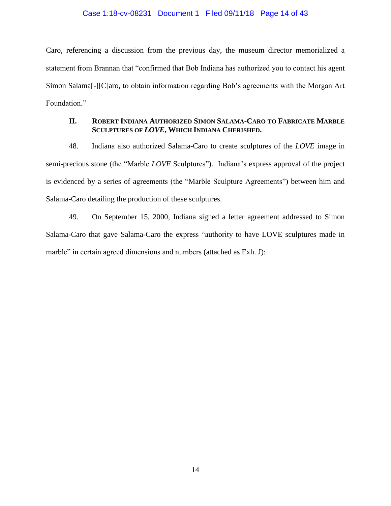### Case 1:18-cv-08231 Document 1 Filed 09/11/18 Page 14 of 43

Caro, referencing a discussion from the previous day, the museum director memorialized a statement from Brannan that "confirmed that Bob Indiana has authorized you to contact his agent Simon Salama[-][C]aro, to obtain information regarding Bob's agreements with the Morgan Art Foundation."

## **II. ROBERT INDIANA AUTHORIZED SIMON SALAMA-CARO TO FABRICATE MARBLE SCULPTURES OF** *LOVE***, WHICH INDIANA CHERISHED.**

48. Indiana also authorized Salama-Caro to create sculptures of the *LOVE* image in semi-precious stone (the "Marble *LOVE* Sculptures"). Indiana's express approval of the project is evidenced by a series of agreements (the "Marble Sculpture Agreements") between him and Salama-Caro detailing the production of these sculptures.

49. On September 15, 2000, Indiana signed a letter agreement addressed to Simon Salama-Caro that gave Salama-Caro the express "authority to have LOVE sculptures made in marble" in certain agreed dimensions and numbers (attached as Exh. J):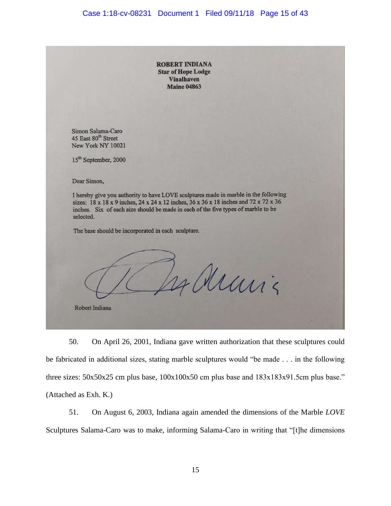# Case 1:18-cv-08231 Document 1 Filed 09/11/18 Page 15 of 43

|                                                                                                                                                                                                                                                                               | <b>ROBERT INDIANA</b><br><b>Star of Hope Lodge</b><br><b>Vinalhaven</b><br><b>Maine 04863</b> |       |
|-------------------------------------------------------------------------------------------------------------------------------------------------------------------------------------------------------------------------------------------------------------------------------|-----------------------------------------------------------------------------------------------|-------|
|                                                                                                                                                                                                                                                                               |                                                                                               |       |
| Simon Salama-Caro<br>45 East 80 <sup>th</sup> Street<br>New York NY 10021                                                                                                                                                                                                     |                                                                                               |       |
| 15 <sup>th</sup> September, 2000                                                                                                                                                                                                                                              |                                                                                               |       |
| Dear Simon,                                                                                                                                                                                                                                                                   |                                                                                               |       |
| I hereby give you authority to have LOVE sculptures made in marble in the following<br>sizes: 18 x 18 x 9 inches, 24 x 24 x 12 inches, 36 x 36 x 18 inches and 72 x 72 x 36<br>inches. Six of each size should be made in each of the five types of marble to be<br>selected. |                                                                                               |       |
| The base should be incorporated in each sculpture.                                                                                                                                                                                                                            |                                                                                               |       |
|                                                                                                                                                                                                                                                                               |                                                                                               | Muris |
| Robert Indiana                                                                                                                                                                                                                                                                |                                                                                               |       |

50. On April 26, 2001, Indiana gave written authorization that these sculptures could be fabricated in additional sizes, stating marble sculptures would "be made . . . in the following three sizes:  $50x50x25$  cm plus base,  $100x100x50$  cm plus base and  $183x183x91.5$ cm plus base." (Attached as Exh. K.)

51. On August 6, 2003, Indiana again amended the dimensions of the Marble *LOVE*  Sculptures Salama-Caro was to make, informing Salama-Caro in writing that "[t]he dimensions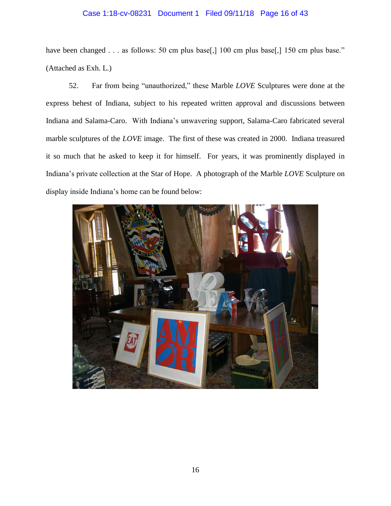# Case 1:18-cv-08231 Document 1 Filed 09/11/18 Page 16 of 43

have been changed . . . as follows: 50 cm plus base[,] 100 cm plus base[,] 150 cm plus base." (Attached as Exh. L.)

52. Far from being "unauthorized," these Marble *LOVE* Sculptures were done at the express behest of Indiana, subject to his repeated written approval and discussions between Indiana and Salama-Caro. With Indiana's unwavering support, Salama-Caro fabricated several marble sculptures of the *LOVE* image. The first of these was created in 2000. Indiana treasured it so much that he asked to keep it for himself. For years, it was prominently displayed in Indiana's private collection at the Star of Hope. A photograph of the Marble *LOVE* Sculpture on display inside Indiana's home can be found below:

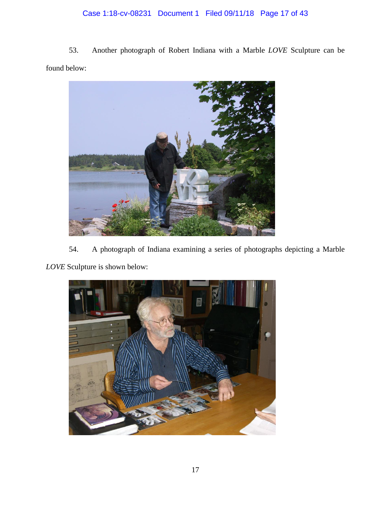# Case 1:18-cv-08231 Document 1 Filed 09/11/18 Page 17 of 43

53. Another photograph of Robert Indiana with a Marble *LOVE* Sculpture can be found below:



54. A photograph of Indiana examining a series of photographs depicting a Marble *LOVE* Sculpture is shown below:

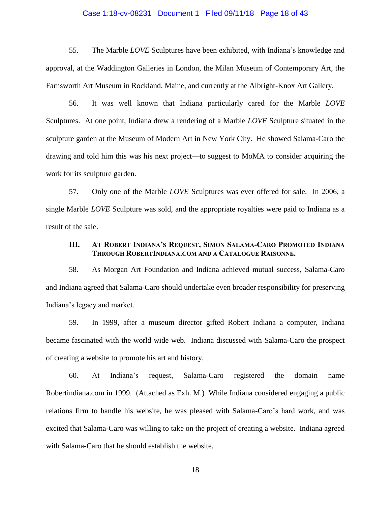### Case 1:18-cv-08231 Document 1 Filed 09/11/18 Page 18 of 43

55. The Marble *LOVE* Sculptures have been exhibited, with Indiana's knowledge and approval, at the Waddington Galleries in London, the Milan Museum of Contemporary Art, the Farnsworth Art Museum in Rockland, Maine, and currently at the Albright-Knox Art Gallery.

56. It was well known that Indiana particularly cared for the Marble *LOVE*  Sculptures. At one point, Indiana drew a rendering of a Marble *LOVE* Sculpture situated in the sculpture garden at the Museum of Modern Art in New York City. He showed Salama-Caro the drawing and told him this was his next project—to suggest to MoMA to consider acquiring the work for its sculpture garden.

57. Only one of the Marble *LOVE* Sculptures was ever offered for sale. In 2006, a single Marble *LOVE* Sculpture was sold, and the appropriate royalties were paid to Indiana as a result of the sale.

### **III. AT ROBERT INDIANA'S REQUEST, SIMON SALAMA-CARO PROMOTED INDIANA THROUGH ROBERTINDIANA.COM AND A CATALOGUE RAISONNE.**

58. As Morgan Art Foundation and Indiana achieved mutual success, Salama-Caro and Indiana agreed that Salama-Caro should undertake even broader responsibility for preserving Indiana's legacy and market.

59. In 1999, after a museum director gifted Robert Indiana a computer, Indiana became fascinated with the world wide web. Indiana discussed with Salama-Caro the prospect of creating a website to promote his art and history.

60. At Indiana's request, Salama-Caro registered the domain name Robertindiana.com in 1999. (Attached as Exh. M.) While Indiana considered engaging a public relations firm to handle his website, he was pleased with Salama-Caro's hard work, and was excited that Salama-Caro was willing to take on the project of creating a website. Indiana agreed with Salama-Caro that he should establish the website.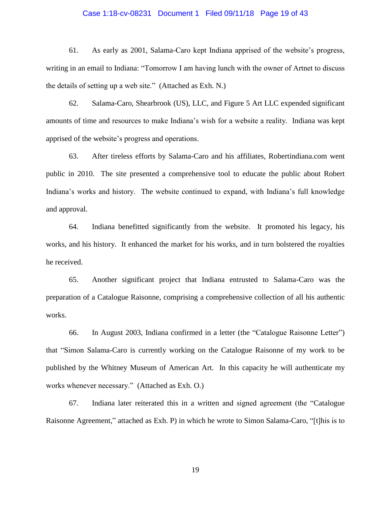#### Case 1:18-cv-08231 Document 1 Filed 09/11/18 Page 19 of 43

61. As early as 2001, Salama-Caro kept Indiana apprised of the website's progress, writing in an email to Indiana: "Tomorrow I am having lunch with the owner of Artnet to discuss the details of setting up a web site." (Attached as Exh. N.)

62. Salama-Caro, Shearbrook (US), LLC, and Figure 5 Art LLC expended significant amounts of time and resources to make Indiana's wish for a website a reality. Indiana was kept apprised of the website's progress and operations.

63. After tireless efforts by Salama-Caro and his affiliates, Robertindiana.com went public in 2010. The site presented a comprehensive tool to educate the public about Robert Indiana's works and history. The website continued to expand, with Indiana's full knowledge and approval.

64. Indiana benefitted significantly from the website. It promoted his legacy, his works, and his history. It enhanced the market for his works, and in turn bolstered the royalties he received.

65. Another significant project that Indiana entrusted to Salama-Caro was the preparation of a Catalogue Raisonne, comprising a comprehensive collection of all his authentic works.

66. In August 2003, Indiana confirmed in a letter (the "Catalogue Raisonne Letter") that "Simon Salama-Caro is currently working on the Catalogue Raisonne of my work to be published by the Whitney Museum of American Art. In this capacity he will authenticate my works whenever necessary." (Attached as Exh. O.)

67. Indiana later reiterated this in a written and signed agreement (the "Catalogue Raisonne Agreement," attached as Exh. P) in which he wrote to Simon Salama-Caro, "[t]his is to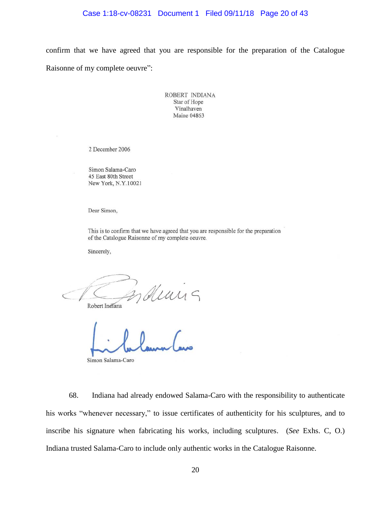### Case 1:18-cv-08231 Document 1 Filed 09/11/18 Page 20 of 43

confirm that we have agreed that you are responsible for the preparation of the Catalogue Raisonne of my complete oeuvre":

> ROBERT INDIANA Star of Hope Vinalhaven Maine 04863

2 December 2006

Simon Salama-Caro 45 East 80th Street New York, N.Y.10021

Dear Simon,

This is to confirm that we have agreed that you are responsible for the preparation of the Catalogue Raisonne of my complete oeuvre.

Sincerely,

deans

Robert Indiana

Simon Salama-Caro

68. Indiana had already endowed Salama-Caro with the responsibility to authenticate his works "whenever necessary," to issue certificates of authenticity for his sculptures, and to inscribe his signature when fabricating his works, including sculptures. (*See* Exhs. C, O.) Indiana trusted Salama-Caro to include only authentic works in the Catalogue Raisonne.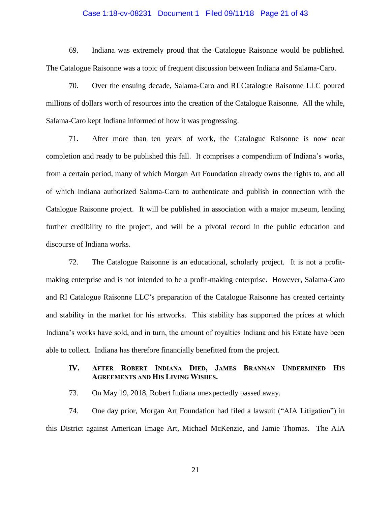### Case 1:18-cv-08231 Document 1 Filed 09/11/18 Page 21 of 43

69. Indiana was extremely proud that the Catalogue Raisonne would be published. The Catalogue Raisonne was a topic of frequent discussion between Indiana and Salama-Caro.

70. Over the ensuing decade, Salama-Caro and RI Catalogue Raisonne LLC poured millions of dollars worth of resources into the creation of the Catalogue Raisonne. All the while, Salama-Caro kept Indiana informed of how it was progressing.

71. After more than ten years of work, the Catalogue Raisonne is now near completion and ready to be published this fall. It comprises a compendium of Indiana's works, from a certain period, many of which Morgan Art Foundation already owns the rights to, and all of which Indiana authorized Salama-Caro to authenticate and publish in connection with the Catalogue Raisonne project. It will be published in association with a major museum, lending further credibility to the project, and will be a pivotal record in the public education and discourse of Indiana works.

72. The Catalogue Raisonne is an educational, scholarly project. It is not a profitmaking enterprise and is not intended to be a profit-making enterprise. However, Salama-Caro and RI Catalogue Raisonne LLC's preparation of the Catalogue Raisonne has created certainty and stability in the market for his artworks. This stability has supported the prices at which Indiana's works have sold, and in turn, the amount of royalties Indiana and his Estate have been able to collect. Indiana has therefore financially benefitted from the project.

## **IV. AFTER ROBERT INDIANA DIED, JAMES BRANNAN UNDERMINED HIS AGREEMENTS AND HIS LIVING WISHES.**

73. On May 19, 2018, Robert Indiana unexpectedly passed away.

74. One day prior, Morgan Art Foundation had filed a lawsuit ("AIA Litigation") in this District against American Image Art, Michael McKenzie, and Jamie Thomas. The AIA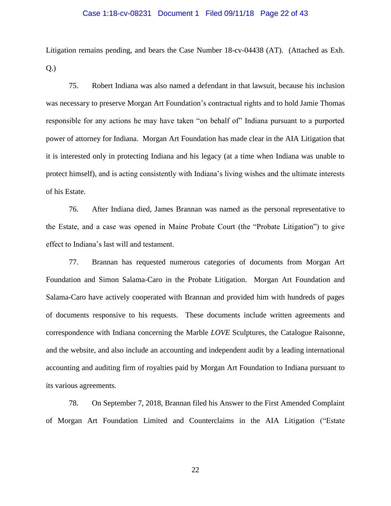### Case 1:18-cv-08231 Document 1 Filed 09/11/18 Page 22 of 43

Litigation remains pending, and bears the Case Number 18-cv-04438 (AT). (Attached as Exh. Q.)

75. Robert Indiana was also named a defendant in that lawsuit, because his inclusion was necessary to preserve Morgan Art Foundation's contractual rights and to hold Jamie Thomas responsible for any actions he may have taken "on behalf of" Indiana pursuant to a purported power of attorney for Indiana. Morgan Art Foundation has made clear in the AIA Litigation that it is interested only in protecting Indiana and his legacy (at a time when Indiana was unable to protect himself), and is acting consistently with Indiana's living wishes and the ultimate interests of his Estate.

76. After Indiana died, James Brannan was named as the personal representative to the Estate, and a case was opened in Maine Probate Court (the "Probate Litigation") to give effect to Indiana's last will and testament.

77. Brannan has requested numerous categories of documents from Morgan Art Foundation and Simon Salama-Caro in the Probate Litigation. Morgan Art Foundation and Salama-Caro have actively cooperated with Brannan and provided him with hundreds of pages of documents responsive to his requests. These documents include written agreements and correspondence with Indiana concerning the Marble *LOVE* Sculptures, the Catalogue Raisonne, and the website, and also include an accounting and independent audit by a leading international accounting and auditing firm of royalties paid by Morgan Art Foundation to Indiana pursuant to its various agreements.

78. On September 7, 2018, Brannan filed his Answer to the First Amended Complaint of Morgan Art Foundation Limited and Counterclaims in the AIA Litigation ("Estate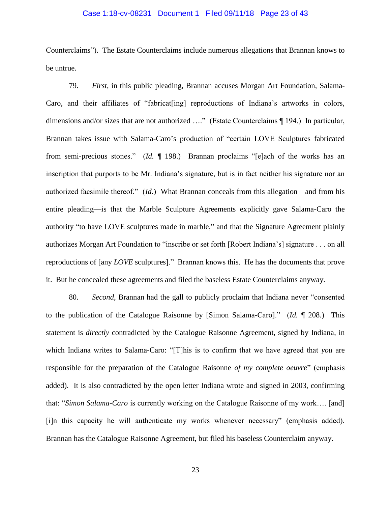### Case 1:18-cv-08231 Document 1 Filed 09/11/18 Page 23 of 43

Counterclaims"). The Estate Counterclaims include numerous allegations that Brannan knows to be untrue.

79. *First,* in this public pleading, Brannan accuses Morgan Art Foundation, Salama-Caro, and their affiliates of "fabricat[ing] reproductions of Indiana's artworks in colors, dimensions and/or sizes that are not authorized …." (Estate Counterclaims ¶ 194.) In particular, Brannan takes issue with Salama-Caro's production of "certain LOVE Sculptures fabricated from semi-precious stones." (*Id.* ¶ 198.) Brannan proclaims "[e]ach of the works has an inscription that purports to be Mr. Indiana's signature, but is in fact neither his signature nor an authorized facsimile thereof." (*Id.*) What Brannan conceals from this allegation—and from his entire pleading—is that the Marble Sculpture Agreements explicitly gave Salama-Caro the authority "to have LOVE sculptures made in marble," and that the Signature Agreement plainly authorizes Morgan Art Foundation to "inscribe or set forth [Robert Indiana's] signature . . . on all reproductions of [any *LOVE* sculptures]." Brannan knows this. He has the documents that prove it. But he concealed these agreements and filed the baseless Estate Counterclaims anyway.

80. *Second*, Brannan had the gall to publicly proclaim that Indiana never "consented to the publication of the Catalogue Raisonne by [Simon Salama-Caro]." (*Id.* ¶ 208.) This statement is *directly* contradicted by the Catalogue Raisonne Agreement, signed by Indiana, in which Indiana writes to Salama-Caro: "[T]his is to confirm that we have agreed that *you* are responsible for the preparation of the Catalogue Raisonne *of my complete oeuvre*" (emphasis added). It is also contradicted by the open letter Indiana wrote and signed in 2003, confirming that: "*Simon Salama-Caro* is currently working on the Catalogue Raisonne of my work…. [and] [i]n this capacity he will authenticate my works whenever necessary" (emphasis added). Brannan has the Catalogue Raisonne Agreement, but filed his baseless Counterclaim anyway.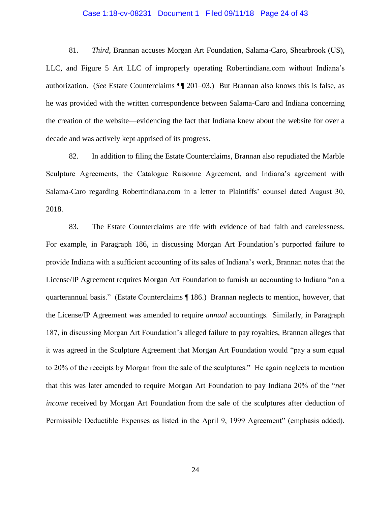#### Case 1:18-cv-08231 Document 1 Filed 09/11/18 Page 24 of 43

81. *Third*, Brannan accuses Morgan Art Foundation, Salama-Caro, Shearbrook (US), LLC, and Figure 5 Art LLC of improperly operating Robertindiana.com without Indiana's authorization. (*See* Estate Counterclaims ¶¶ 201–03.) But Brannan also knows this is false, as he was provided with the written correspondence between Salama-Caro and Indiana concerning the creation of the website—evidencing the fact that Indiana knew about the website for over a decade and was actively kept apprised of its progress.

82. In addition to filing the Estate Counterclaims, Brannan also repudiated the Marble Sculpture Agreements, the Catalogue Raisonne Agreement, and Indiana's agreement with Salama-Caro regarding Robertindiana.com in a letter to Plaintiffs' counsel dated August 30, 2018.

83. The Estate Counterclaims are rife with evidence of bad faith and carelessness. For example, in Paragraph 186, in discussing Morgan Art Foundation's purported failure to provide Indiana with a sufficient accounting of its sales of Indiana's work, Brannan notes that the License/IP Agreement requires Morgan Art Foundation to furnish an accounting to Indiana "on a quarterannual basis." (Estate Counterclaims ¶ 186.) Brannan neglects to mention, however, that the License/IP Agreement was amended to require *annual* accountings. Similarly, in Paragraph 187, in discussing Morgan Art Foundation's alleged failure to pay royalties, Brannan alleges that it was agreed in the Sculpture Agreement that Morgan Art Foundation would "pay a sum equal to 20% of the receipts by Morgan from the sale of the sculptures." He again neglects to mention that this was later amended to require Morgan Art Foundation to pay Indiana 20% of the "*net income* received by Morgan Art Foundation from the sale of the sculptures after deduction of Permissible Deductible Expenses as listed in the April 9, 1999 Agreement" (emphasis added).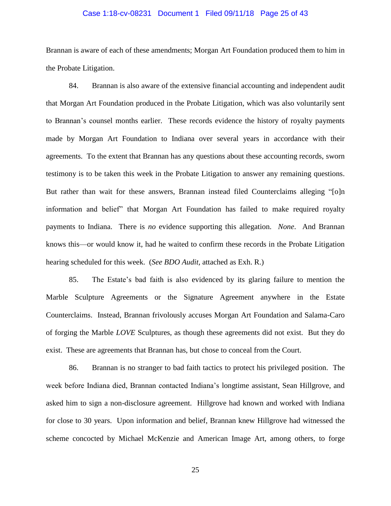### Case 1:18-cv-08231 Document 1 Filed 09/11/18 Page 25 of 43

Brannan is aware of each of these amendments; Morgan Art Foundation produced them to him in the Probate Litigation.

84. Brannan is also aware of the extensive financial accounting and independent audit that Morgan Art Foundation produced in the Probate Litigation, which was also voluntarily sent to Brannan's counsel months earlier. These records evidence the history of royalty payments made by Morgan Art Foundation to Indiana over several years in accordance with their agreements. To the extent that Brannan has any questions about these accounting records, sworn testimony is to be taken this week in the Probate Litigation to answer any remaining questions. But rather than wait for these answers, Brannan instead filed Counterclaims alleging "[o]n information and belief" that Morgan Art Foundation has failed to make required royalty payments to Indiana. There is *no* evidence supporting this allegation. *None*. And Brannan knows this—or would know it, had he waited to confirm these records in the Probate Litigation hearing scheduled for this week. (*See BDO Audit,* attached as Exh. R.)

85. The Estate's bad faith is also evidenced by its glaring failure to mention the Marble Sculpture Agreements or the Signature Agreement anywhere in the Estate Counterclaims. Instead, Brannan frivolously accuses Morgan Art Foundation and Salama-Caro of forging the Marble *LOVE* Sculptures, as though these agreements did not exist. But they do exist. These are agreements that Brannan has, but chose to conceal from the Court.

86. Brannan is no stranger to bad faith tactics to protect his privileged position. The week before Indiana died, Brannan contacted Indiana's longtime assistant, Sean Hillgrove, and asked him to sign a non-disclosure agreement. Hillgrove had known and worked with Indiana for close to 30 years. Upon information and belief, Brannan knew Hillgrove had witnessed the scheme concocted by Michael McKenzie and American Image Art, among others, to forge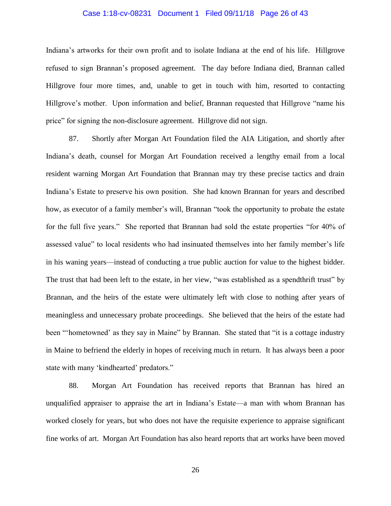### Case 1:18-cv-08231 Document 1 Filed 09/11/18 Page 26 of 43

Indiana's artworks for their own profit and to isolate Indiana at the end of his life. Hillgrove refused to sign Brannan's proposed agreement. The day before Indiana died, Brannan called Hillgrove four more times, and, unable to get in touch with him, resorted to contacting Hillgrove's mother. Upon information and belief, Brannan requested that Hillgrove "name his price" for signing the non-disclosure agreement. Hillgrove did not sign.

87. Shortly after Morgan Art Foundation filed the AIA Litigation, and shortly after Indiana's death, counsel for Morgan Art Foundation received a lengthy email from a local resident warning Morgan Art Foundation that Brannan may try these precise tactics and drain Indiana's Estate to preserve his own position. She had known Brannan for years and described how, as executor of a family member's will, Brannan "took the opportunity to probate the estate for the full five years." She reported that Brannan had sold the estate properties "for 40% of assessed value" to local residents who had insinuated themselves into her family member's life in his waning years—instead of conducting a true public auction for value to the highest bidder. The trust that had been left to the estate, in her view, "was established as a spendthrift trust" by Brannan, and the heirs of the estate were ultimately left with close to nothing after years of meaningless and unnecessary probate proceedings. She believed that the heirs of the estate had been "'hometowned' as they say in Maine" by Brannan. She stated that "it is a cottage industry in Maine to befriend the elderly in hopes of receiving much in return. It has always been a poor state with many 'kindhearted' predators."

88. Morgan Art Foundation has received reports that Brannan has hired an unqualified appraiser to appraise the art in Indiana's Estate—a man with whom Brannan has worked closely for years, but who does not have the requisite experience to appraise significant fine works of art. Morgan Art Foundation has also heard reports that art works have been moved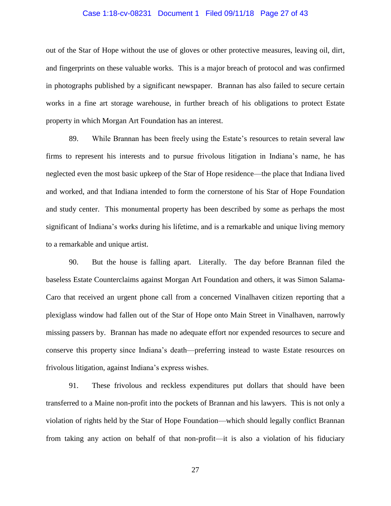### Case 1:18-cv-08231 Document 1 Filed 09/11/18 Page 27 of 43

out of the Star of Hope without the use of gloves or other protective measures, leaving oil, dirt, and fingerprints on these valuable works. This is a major breach of protocol and was confirmed in photographs published by a significant newspaper. Brannan has also failed to secure certain works in a fine art storage warehouse, in further breach of his obligations to protect Estate property in which Morgan Art Foundation has an interest.

89. While Brannan has been freely using the Estate's resources to retain several law firms to represent his interests and to pursue frivolous litigation in Indiana's name, he has neglected even the most basic upkeep of the Star of Hope residence—the place that Indiana lived and worked, and that Indiana intended to form the cornerstone of his Star of Hope Foundation and study center. This monumental property has been described by some as perhaps the most significant of Indiana's works during his lifetime, and is a remarkable and unique living memory to a remarkable and unique artist.

90. But the house is falling apart. Literally. The day before Brannan filed the baseless Estate Counterclaims against Morgan Art Foundation and others, it was Simon Salama-Caro that received an urgent phone call from a concerned Vinalhaven citizen reporting that a plexiglass window had fallen out of the Star of Hope onto Main Street in Vinalhaven, narrowly missing passers by. Brannan has made no adequate effort nor expended resources to secure and conserve this property since Indiana's death—preferring instead to waste Estate resources on frivolous litigation, against Indiana's express wishes.

91. These frivolous and reckless expenditures put dollars that should have been transferred to a Maine non-profit into the pockets of Brannan and his lawyers. This is not only a violation of rights held by the Star of Hope Foundation—which should legally conflict Brannan from taking any action on behalf of that non-profit—it is also a violation of his fiduciary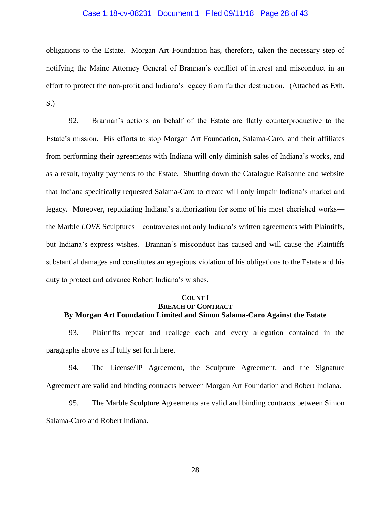### Case 1:18-cv-08231 Document 1 Filed 09/11/18 Page 28 of 43

obligations to the Estate. Morgan Art Foundation has, therefore, taken the necessary step of notifying the Maine Attorney General of Brannan's conflict of interest and misconduct in an effort to protect the non-profit and Indiana's legacy from further destruction. (Attached as Exh. S.)

92. Brannan's actions on behalf of the Estate are flatly counterproductive to the Estate's mission. His efforts to stop Morgan Art Foundation, Salama-Caro, and their affiliates from performing their agreements with Indiana will only diminish sales of Indiana's works, and as a result, royalty payments to the Estate. Shutting down the Catalogue Raisonne and website that Indiana specifically requested Salama-Caro to create will only impair Indiana's market and legacy. Moreover, repudiating Indiana's authorization for some of his most cherished works the Marble *LOVE* Sculptures—contravenes not only Indiana's written agreements with Plaintiffs, but Indiana's express wishes. Brannan's misconduct has caused and will cause the Plaintiffs substantial damages and constitutes an egregious violation of his obligations to the Estate and his duty to protect and advance Robert Indiana's wishes.

### **COUNT I BREACH OF CONTRACT By Morgan Art Foundation Limited and Simon Salama-Caro Against the Estate**

93. Plaintiffs repeat and reallege each and every allegation contained in the paragraphs above as if fully set forth here.

94. The License/IP Agreement, the Sculpture Agreement, and the Signature Agreement are valid and binding contracts between Morgan Art Foundation and Robert Indiana.

95. The Marble Sculpture Agreements are valid and binding contracts between Simon Salama-Caro and Robert Indiana.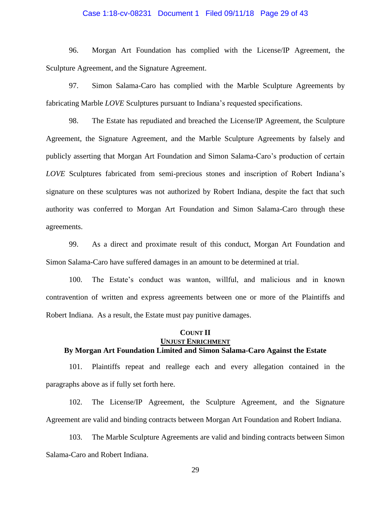### Case 1:18-cv-08231 Document 1 Filed 09/11/18 Page 29 of 43

96. Morgan Art Foundation has complied with the License/IP Agreement, the Sculpture Agreement, and the Signature Agreement.

97. Simon Salama-Caro has complied with the Marble Sculpture Agreements by fabricating Marble *LOVE* Sculptures pursuant to Indiana's requested specifications.

98. The Estate has repudiated and breached the License/IP Agreement, the Sculpture Agreement, the Signature Agreement, and the Marble Sculpture Agreements by falsely and publicly asserting that Morgan Art Foundation and Simon Salama-Caro's production of certain *LOVE* Sculptures fabricated from semi-precious stones and inscription of Robert Indiana's signature on these sculptures was not authorized by Robert Indiana, despite the fact that such authority was conferred to Morgan Art Foundation and Simon Salama-Caro through these agreements.

99. As a direct and proximate result of this conduct, Morgan Art Foundation and Simon Salama-Caro have suffered damages in an amount to be determined at trial.

100. The Estate's conduct was wanton, willful, and malicious and in known contravention of written and express agreements between one or more of the Plaintiffs and Robert Indiana. As a result, the Estate must pay punitive damages.

### **COUNT II UNJUST ENRICHMENT By Morgan Art Foundation Limited and Simon Salama-Caro Against the Estate**

101. Plaintiffs repeat and reallege each and every allegation contained in the paragraphs above as if fully set forth here.

102. The License/IP Agreement, the Sculpture Agreement, and the Signature Agreement are valid and binding contracts between Morgan Art Foundation and Robert Indiana.

103. The Marble Sculpture Agreements are valid and binding contracts between Simon Salama-Caro and Robert Indiana.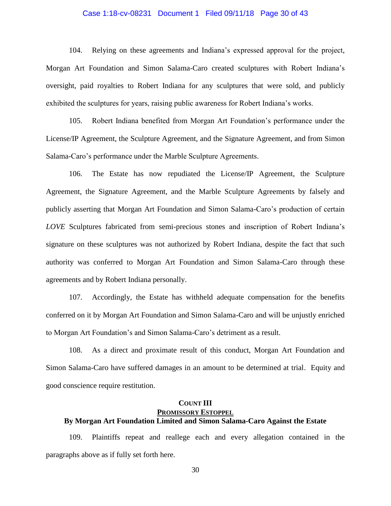### Case 1:18-cv-08231 Document 1 Filed 09/11/18 Page 30 of 43

104. Relying on these agreements and Indiana's expressed approval for the project, Morgan Art Foundation and Simon Salama-Caro created sculptures with Robert Indiana's oversight, paid royalties to Robert Indiana for any sculptures that were sold, and publicly exhibited the sculptures for years, raising public awareness for Robert Indiana's works.

105. Robert Indiana benefited from Morgan Art Foundation's performance under the License/IP Agreement, the Sculpture Agreement, and the Signature Agreement, and from Simon Salama-Caro's performance under the Marble Sculpture Agreements.

106. The Estate has now repudiated the License/IP Agreement, the Sculpture Agreement, the Signature Agreement, and the Marble Sculpture Agreements by falsely and publicly asserting that Morgan Art Foundation and Simon Salama-Caro's production of certain *LOVE* Sculptures fabricated from semi-precious stones and inscription of Robert Indiana's signature on these sculptures was not authorized by Robert Indiana, despite the fact that such authority was conferred to Morgan Art Foundation and Simon Salama-Caro through these agreements and by Robert Indiana personally.

107. Accordingly, the Estate has withheld adequate compensation for the benefits conferred on it by Morgan Art Foundation and Simon Salama-Caro and will be unjustly enriched to Morgan Art Foundation's and Simon Salama-Caro's detriment as a result.

108. As a direct and proximate result of this conduct, Morgan Art Foundation and Simon Salama-Caro have suffered damages in an amount to be determined at trial. Equity and good conscience require restitution.

### **COUNT III PROMISSORY ESTOPPEL By Morgan Art Foundation Limited and Simon Salama-Caro Against the Estate**

109. Plaintiffs repeat and reallege each and every allegation contained in the paragraphs above as if fully set forth here.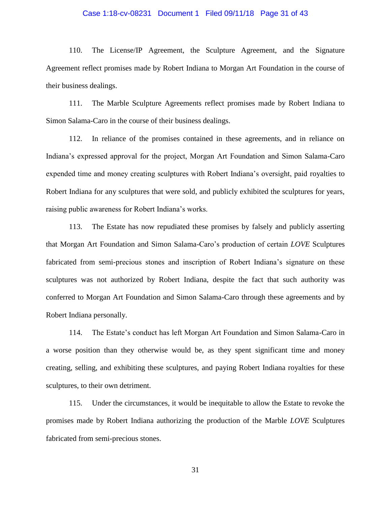### Case 1:18-cv-08231 Document 1 Filed 09/11/18 Page 31 of 43

110. The License/IP Agreement, the Sculpture Agreement, and the Signature Agreement reflect promises made by Robert Indiana to Morgan Art Foundation in the course of their business dealings.

111. The Marble Sculpture Agreements reflect promises made by Robert Indiana to Simon Salama-Caro in the course of their business dealings.

112. In reliance of the promises contained in these agreements, and in reliance on Indiana's expressed approval for the project, Morgan Art Foundation and Simon Salama-Caro expended time and money creating sculptures with Robert Indiana's oversight, paid royalties to Robert Indiana for any sculptures that were sold, and publicly exhibited the sculptures for years, raising public awareness for Robert Indiana's works.

113. The Estate has now repudiated these promises by falsely and publicly asserting that Morgan Art Foundation and Simon Salama-Caro's production of certain *LOVE* Sculptures fabricated from semi-precious stones and inscription of Robert Indiana's signature on these sculptures was not authorized by Robert Indiana, despite the fact that such authority was conferred to Morgan Art Foundation and Simon Salama-Caro through these agreements and by Robert Indiana personally.

114. The Estate's conduct has left Morgan Art Foundation and Simon Salama-Caro in a worse position than they otherwise would be, as they spent significant time and money creating, selling, and exhibiting these sculptures, and paying Robert Indiana royalties for these sculptures, to their own detriment.

115. Under the circumstances, it would be inequitable to allow the Estate to revoke the promises made by Robert Indiana authorizing the production of the Marble *LOVE* Sculptures fabricated from semi-precious stones.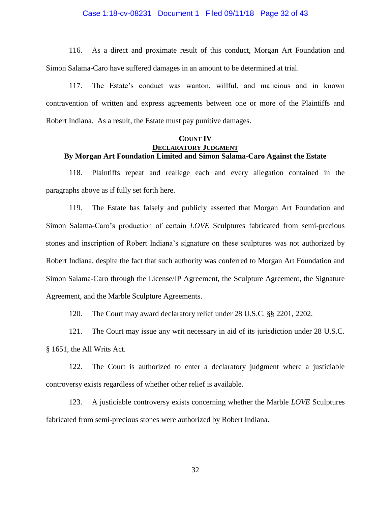### Case 1:18-cv-08231 Document 1 Filed 09/11/18 Page 32 of 43

116. As a direct and proximate result of this conduct, Morgan Art Foundation and Simon Salama-Caro have suffered damages in an amount to be determined at trial.

117. The Estate's conduct was wanton, willful, and malicious and in known contravention of written and express agreements between one or more of the Plaintiffs and Robert Indiana. As a result, the Estate must pay punitive damages.

### **COUNT IV DECLARATORY JUDGMENT By Morgan Art Foundation Limited and Simon Salama-Caro Against the Estate**

118. Plaintiffs repeat and reallege each and every allegation contained in the paragraphs above as if fully set forth here.

119. The Estate has falsely and publicly asserted that Morgan Art Foundation and Simon Salama-Caro's production of certain *LOVE* Sculptures fabricated from semi-precious stones and inscription of Robert Indiana's signature on these sculptures was not authorized by Robert Indiana, despite the fact that such authority was conferred to Morgan Art Foundation and Simon Salama-Caro through the License/IP Agreement, the Sculpture Agreement, the Signature Agreement, and the Marble Sculpture Agreements.

120. The Court may award declaratory relief under 28 U.S.C. §§ 2201, 2202.

121. The Court may issue any writ necessary in aid of its jurisdiction under 28 U.S.C. § 1651, the All Writs Act.

122. The Court is authorized to enter a declaratory judgment where a justiciable controversy exists regardless of whether other relief is available.

123. A justiciable controversy exists concerning whether the Marble *LOVE* Sculptures fabricated from semi-precious stones were authorized by Robert Indiana.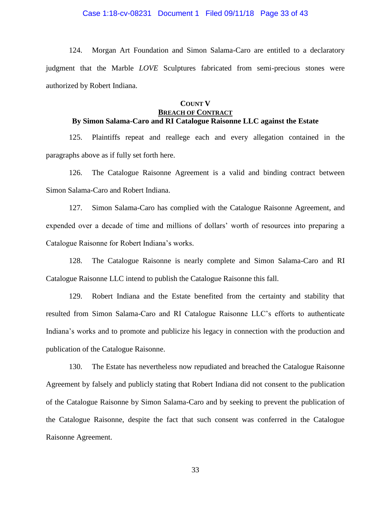### Case 1:18-cv-08231 Document 1 Filed 09/11/18 Page 33 of 43

124. Morgan Art Foundation and Simon Salama-Caro are entitled to a declaratory judgment that the Marble *LOVE* Sculptures fabricated from semi-precious stones were authorized by Robert Indiana.

### **COUNT V**

### **BREACH OF CONTRACT By Simon Salama-Caro and RI Catalogue Raisonne LLC against the Estate**

125. Plaintiffs repeat and reallege each and every allegation contained in the paragraphs above as if fully set forth here.

126. The Catalogue Raisonne Agreement is a valid and binding contract between Simon Salama-Caro and Robert Indiana.

127. Simon Salama-Caro has complied with the Catalogue Raisonne Agreement, and expended over a decade of time and millions of dollars' worth of resources into preparing a Catalogue Raisonne for Robert Indiana's works.

128. The Catalogue Raisonne is nearly complete and Simon Salama-Caro and RI Catalogue Raisonne LLC intend to publish the Catalogue Raisonne this fall.

129. Robert Indiana and the Estate benefited from the certainty and stability that resulted from Simon Salama-Caro and RI Catalogue Raisonne LLC's efforts to authenticate Indiana's works and to promote and publicize his legacy in connection with the production and publication of the Catalogue Raisonne.

130. The Estate has nevertheless now repudiated and breached the Catalogue Raisonne Agreement by falsely and publicly stating that Robert Indiana did not consent to the publication of the Catalogue Raisonne by Simon Salama-Caro and by seeking to prevent the publication of the Catalogue Raisonne, despite the fact that such consent was conferred in the Catalogue Raisonne Agreement.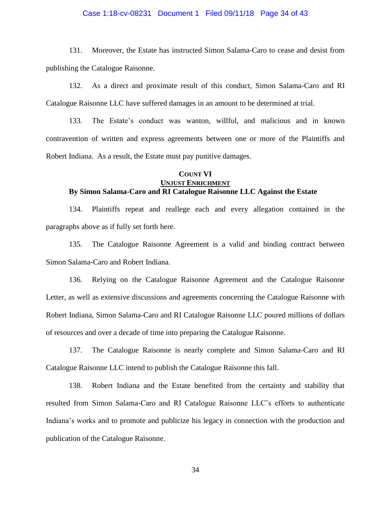### Case 1:18-cv-08231 Document 1 Filed 09/11/18 Page 34 of 43

131. Moreover, the Estate has instructed Simon Salama-Caro to cease and desist from publishing the Catalogue Raisonne.

132. As a direct and proximate result of this conduct, Simon Salama-Caro and RI Catalogue Raisonne LLC have suffered damages in an amount to be determined at trial.

133. The Estate's conduct was wanton, willful, and malicious and in known contravention of written and express agreements between one or more of the Plaintiffs and Robert Indiana. As a result, the Estate must pay punitive damages.

### **COUNT VI UNJUST ENRICHMENT By Simon Salama-Caro and RI Catalogue Raisonne LLC Against the Estate**

134. Plaintiffs repeat and reallege each and every allegation contained in the paragraphs above as if fully set forth here.

135. The Catalogue Raisonne Agreement is a valid and binding contract between Simon Salama-Caro and Robert Indiana.

136. Relying on the Catalogue Raisonne Agreement and the Catalogue Raisonne Letter, as well as extensive discussions and agreements concerning the Catalogue Raisonne with Robert Indiana, Simon Salama-Caro and RI Catalogue Raisonne LLC poured millions of dollars of resources and over a decade of time into preparing the Catalogue Raisonne.

137. The Catalogue Raisonne is nearly complete and Simon Salama-Caro and RI Catalogue Raisonne LLC intend to publish the Catalogue Raisonne this fall.

138. Robert Indiana and the Estate benefited from the certainty and stability that resulted from Simon Salama-Caro and RI Catalogue Raisonne LLC's efforts to authenticate Indiana's works and to promote and publicize his legacy in connection with the production and publication of the Catalogue Raisonne.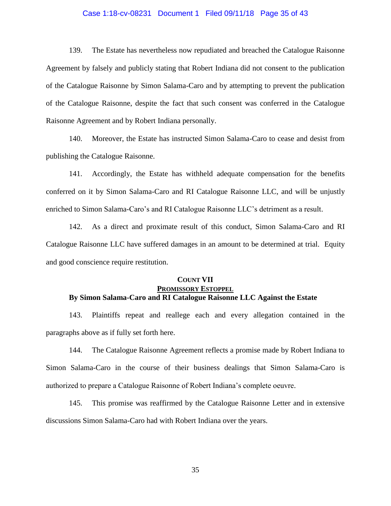### Case 1:18-cv-08231 Document 1 Filed 09/11/18 Page 35 of 43

139. The Estate has nevertheless now repudiated and breached the Catalogue Raisonne Agreement by falsely and publicly stating that Robert Indiana did not consent to the publication of the Catalogue Raisonne by Simon Salama-Caro and by attempting to prevent the publication of the Catalogue Raisonne, despite the fact that such consent was conferred in the Catalogue Raisonne Agreement and by Robert Indiana personally.

140. Moreover, the Estate has instructed Simon Salama-Caro to cease and desist from publishing the Catalogue Raisonne.

141. Accordingly, the Estate has withheld adequate compensation for the benefits conferred on it by Simon Salama-Caro and RI Catalogue Raisonne LLC, and will be unjustly enriched to Simon Salama-Caro's and RI Catalogue Raisonne LLC's detriment as a result.

142. As a direct and proximate result of this conduct, Simon Salama-Caro and RI Catalogue Raisonne LLC have suffered damages in an amount to be determined at trial. Equity and good conscience require restitution.

## **COUNT VII PROMISSORY ESTOPPEL By Simon Salama-Caro and RI Catalogue Raisonne LLC Against the Estate**

143. Plaintiffs repeat and reallege each and every allegation contained in the paragraphs above as if fully set forth here.

144. The Catalogue Raisonne Agreement reflects a promise made by Robert Indiana to Simon Salama-Caro in the course of their business dealings that Simon Salama-Caro is authorized to prepare a Catalogue Raisonne of Robert Indiana's complete oeuvre.

145. This promise was reaffirmed by the Catalogue Raisonne Letter and in extensive discussions Simon Salama-Caro had with Robert Indiana over the years.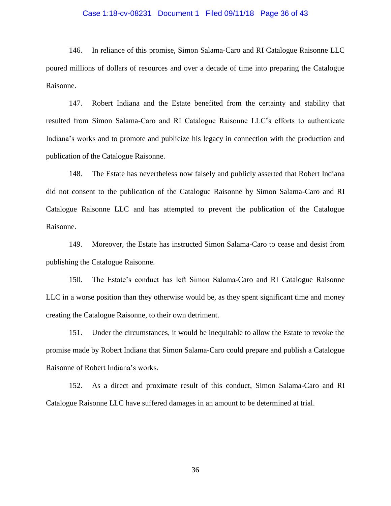### Case 1:18-cv-08231 Document 1 Filed 09/11/18 Page 36 of 43

146. In reliance of this promise, Simon Salama-Caro and RI Catalogue Raisonne LLC poured millions of dollars of resources and over a decade of time into preparing the Catalogue Raisonne.

147. Robert Indiana and the Estate benefited from the certainty and stability that resulted from Simon Salama-Caro and RI Catalogue Raisonne LLC's efforts to authenticate Indiana's works and to promote and publicize his legacy in connection with the production and publication of the Catalogue Raisonne.

148. The Estate has nevertheless now falsely and publicly asserted that Robert Indiana did not consent to the publication of the Catalogue Raisonne by Simon Salama-Caro and RI Catalogue Raisonne LLC and has attempted to prevent the publication of the Catalogue Raisonne.

149. Moreover, the Estate has instructed Simon Salama-Caro to cease and desist from publishing the Catalogue Raisonne.

150. The Estate's conduct has left Simon Salama-Caro and RI Catalogue Raisonne LLC in a worse position than they otherwise would be, as they spent significant time and money creating the Catalogue Raisonne, to their own detriment.

151. Under the circumstances, it would be inequitable to allow the Estate to revoke the promise made by Robert Indiana that Simon Salama-Caro could prepare and publish a Catalogue Raisonne of Robert Indiana's works.

152. As a direct and proximate result of this conduct, Simon Salama-Caro and RI Catalogue Raisonne LLC have suffered damages in an amount to be determined at trial.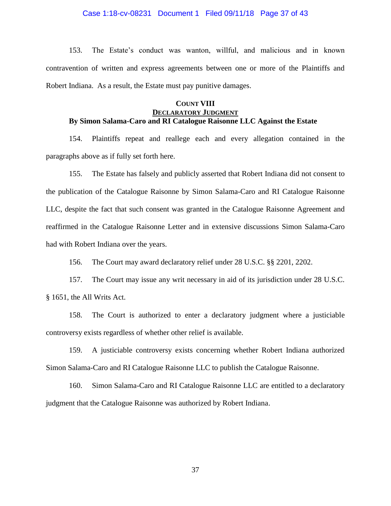### Case 1:18-cv-08231 Document 1 Filed 09/11/18 Page 37 of 43

153. The Estate's conduct was wanton, willful, and malicious and in known contravention of written and express agreements between one or more of the Plaintiffs and Robert Indiana. As a result, the Estate must pay punitive damages.

## **COUNT VIII DECLARATORY JUDGMENT By Simon Salama-Caro and RI Catalogue Raisonne LLC Against the Estate**

154. Plaintiffs repeat and reallege each and every allegation contained in the paragraphs above as if fully set forth here.

155. The Estate has falsely and publicly asserted that Robert Indiana did not consent to the publication of the Catalogue Raisonne by Simon Salama-Caro and RI Catalogue Raisonne LLC, despite the fact that such consent was granted in the Catalogue Raisonne Agreement and reaffirmed in the Catalogue Raisonne Letter and in extensive discussions Simon Salama-Caro had with Robert Indiana over the years.

156. The Court may award declaratory relief under 28 U.S.C. §§ 2201, 2202.

157. The Court may issue any writ necessary in aid of its jurisdiction under 28 U.S.C. § 1651, the All Writs Act.

158. The Court is authorized to enter a declaratory judgment where a justiciable controversy exists regardless of whether other relief is available.

159. A justiciable controversy exists concerning whether Robert Indiana authorized Simon Salama-Caro and RI Catalogue Raisonne LLC to publish the Catalogue Raisonne.

160. Simon Salama-Caro and RI Catalogue Raisonne LLC are entitled to a declaratory judgment that the Catalogue Raisonne was authorized by Robert Indiana.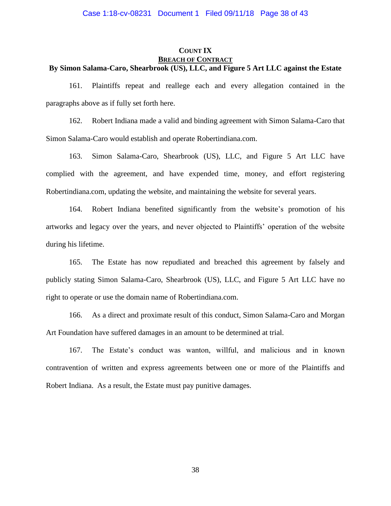# **COUNT IX BREACH OF CONTRACT**

### **By Simon Salama-Caro, Shearbrook (US), LLC, and Figure 5 Art LLC against the Estate**

161. Plaintiffs repeat and reallege each and every allegation contained in the paragraphs above as if fully set forth here.

162. Robert Indiana made a valid and binding agreement with Simon Salama-Caro that Simon Salama-Caro would establish and operate Robertindiana.com.

163. Simon Salama-Caro, Shearbrook (US), LLC, and Figure 5 Art LLC have complied with the agreement, and have expended time, money, and effort registering Robertindiana.com, updating the website, and maintaining the website for several years.

164. Robert Indiana benefited significantly from the website's promotion of his artworks and legacy over the years, and never objected to Plaintiffs' operation of the website during his lifetime.

165. The Estate has now repudiated and breached this agreement by falsely and publicly stating Simon Salama-Caro, Shearbrook (US), LLC, and Figure 5 Art LLC have no right to operate or use the domain name of Robertindiana.com.

166. As a direct and proximate result of this conduct, Simon Salama-Caro and Morgan Art Foundation have suffered damages in an amount to be determined at trial.

167. The Estate's conduct was wanton, willful, and malicious and in known contravention of written and express agreements between one or more of the Plaintiffs and Robert Indiana. As a result, the Estate must pay punitive damages.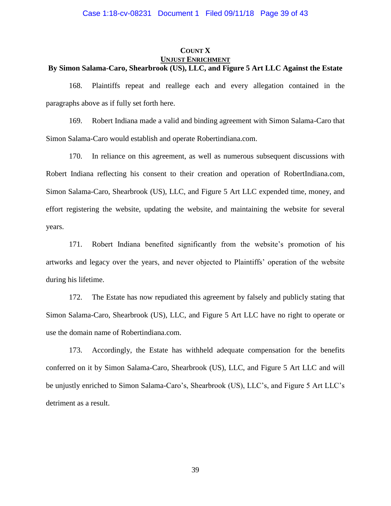# **COUNT X UNJUST ENRICHMENT**

## **By Simon Salama-Caro, Shearbrook (US), LLC, and Figure 5 Art LLC Against the Estate**

168. Plaintiffs repeat and reallege each and every allegation contained in the paragraphs above as if fully set forth here.

169. Robert Indiana made a valid and binding agreement with Simon Salama-Caro that Simon Salama-Caro would establish and operate Robertindiana.com.

170. In reliance on this agreement, as well as numerous subsequent discussions with Robert Indiana reflecting his consent to their creation and operation of RobertIndiana.com, Simon Salama-Caro, Shearbrook (US), LLC, and Figure 5 Art LLC expended time, money, and effort registering the website, updating the website, and maintaining the website for several years.

171. Robert Indiana benefited significantly from the website's promotion of his artworks and legacy over the years, and never objected to Plaintiffs' operation of the website during his lifetime.

172. The Estate has now repudiated this agreement by falsely and publicly stating that Simon Salama-Caro, Shearbrook (US), LLC, and Figure 5 Art LLC have no right to operate or use the domain name of Robertindiana.com.

173. Accordingly, the Estate has withheld adequate compensation for the benefits conferred on it by Simon Salama-Caro, Shearbrook (US), LLC, and Figure 5 Art LLC and will be unjustly enriched to Simon Salama-Caro's, Shearbrook (US), LLC's, and Figure 5 Art LLC's detriment as a result.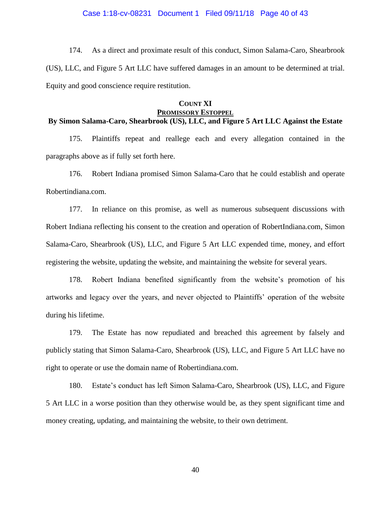### Case 1:18-cv-08231 Document 1 Filed 09/11/18 Page 40 of 43

174. As a direct and proximate result of this conduct, Simon Salama-Caro, Shearbrook (US), LLC, and Figure 5 Art LLC have suffered damages in an amount to be determined at trial. Equity and good conscience require restitution.

### **COUNT XI PROMISSORY ESTOPPEL**

## **By Simon Salama-Caro, Shearbrook (US), LLC, and Figure 5 Art LLC Against the Estate**

175. Plaintiffs repeat and reallege each and every allegation contained in the paragraphs above as if fully set forth here.

176. Robert Indiana promised Simon Salama-Caro that he could establish and operate Robertindiana.com.

177. In reliance on this promise, as well as numerous subsequent discussions with Robert Indiana reflecting his consent to the creation and operation of RobertIndiana.com, Simon Salama-Caro, Shearbrook (US), LLC, and Figure 5 Art LLC expended time, money, and effort registering the website, updating the website, and maintaining the website for several years.

178. Robert Indiana benefited significantly from the website's promotion of his artworks and legacy over the years, and never objected to Plaintiffs' operation of the website during his lifetime.

179. The Estate has now repudiated and breached this agreement by falsely and publicly stating that Simon Salama-Caro, Shearbrook (US), LLC, and Figure 5 Art LLC have no right to operate or use the domain name of Robertindiana.com.

180. Estate's conduct has left Simon Salama-Caro, Shearbrook (US), LLC, and Figure 5 Art LLC in a worse position than they otherwise would be, as they spent significant time and money creating, updating, and maintaining the website, to their own detriment.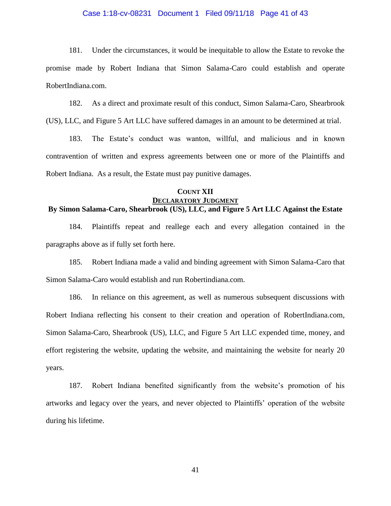### Case 1:18-cv-08231 Document 1 Filed 09/11/18 Page 41 of 43

181. Under the circumstances, it would be inequitable to allow the Estate to revoke the promise made by Robert Indiana that Simon Salama-Caro could establish and operate RobertIndiana.com.

182. As a direct and proximate result of this conduct, Simon Salama-Caro, Shearbrook (US), LLC, and Figure 5 Art LLC have suffered damages in an amount to be determined at trial.

183. The Estate's conduct was wanton, willful, and malicious and in known contravention of written and express agreements between one or more of the Plaintiffs and Robert Indiana. As a result, the Estate must pay punitive damages.

### **COUNT XII DECLARATORY JUDGMENT By Simon Salama-Caro, Shearbrook (US), LLC, and Figure 5 Art LLC Against the Estate**

184. Plaintiffs repeat and reallege each and every allegation contained in the paragraphs above as if fully set forth here.

185. Robert Indiana made a valid and binding agreement with Simon Salama-Caro that Simon Salama-Caro would establish and run Robertindiana.com.

186. In reliance on this agreement, as well as numerous subsequent discussions with Robert Indiana reflecting his consent to their creation and operation of RobertIndiana.com, Simon Salama-Caro, Shearbrook (US), LLC, and Figure 5 Art LLC expended time, money, and effort registering the website, updating the website, and maintaining the website for nearly 20 years.

187. Robert Indiana benefited significantly from the website's promotion of his artworks and legacy over the years, and never objected to Plaintiffs' operation of the website during his lifetime.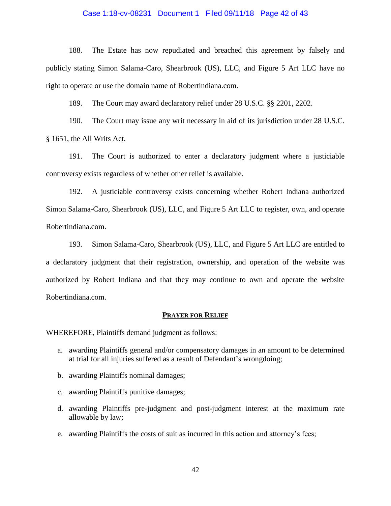### Case 1:18-cv-08231 Document 1 Filed 09/11/18 Page 42 of 43

188. The Estate has now repudiated and breached this agreement by falsely and publicly stating Simon Salama-Caro, Shearbrook (US), LLC, and Figure 5 Art LLC have no right to operate or use the domain name of Robertindiana.com.

189. The Court may award declaratory relief under 28 U.S.C. §§ 2201, 2202.

190. The Court may issue any writ necessary in aid of its jurisdiction under 28 U.S.C. § 1651, the All Writs Act.

191. The Court is authorized to enter a declaratory judgment where a justiciable controversy exists regardless of whether other relief is available.

192. A justiciable controversy exists concerning whether Robert Indiana authorized Simon Salama-Caro, Shearbrook (US), LLC, and Figure 5 Art LLC to register, own, and operate Robertindiana.com.

193. Simon Salama-Caro, Shearbrook (US), LLC, and Figure 5 Art LLC are entitled to a declaratory judgment that their registration, ownership, and operation of the website was authorized by Robert Indiana and that they may continue to own and operate the website Robertindiana.com.

#### **PRAYER FOR RELIEF**

WHEREFORE, Plaintiffs demand judgment as follows:

- a. awarding Plaintiffs general and/or compensatory damages in an amount to be determined at trial for all injuries suffered as a result of Defendant's wrongdoing;
- b. awarding Plaintiffs nominal damages;
- c. awarding Plaintiffs punitive damages;
- d. awarding Plaintiffs pre-judgment and post-judgment interest at the maximum rate allowable by law;
- e. awarding Plaintiffs the costs of suit as incurred in this action and attorney's fees;